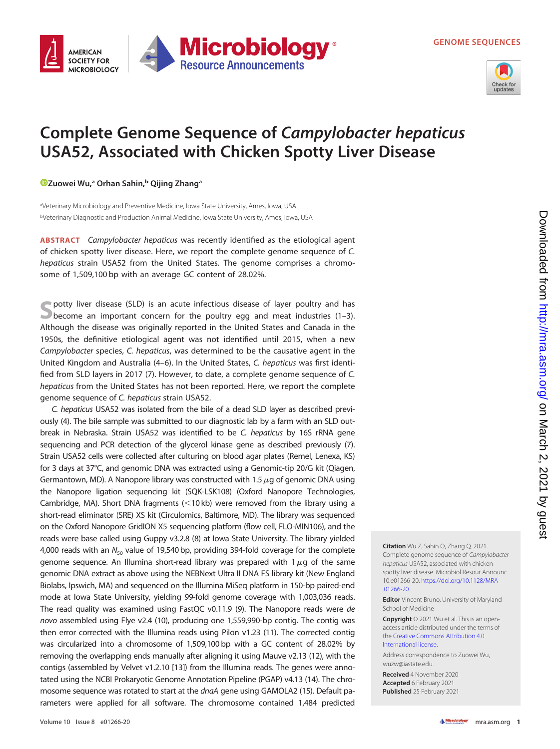

## Complete Genome Sequence of Campylobacter hepaticus USA52, Associated with Chicken Spotty Liver Disease

[Zuowei Wu,](https://orcid.org/0000-0003-2153-5816)ª Orhan Sahin,<sup>ь</sup> Qijing Zhangª

aVeterinary Microbiology and Preventive Medicine, Iowa State University, Ames, Iowa, USA bVeterinary Diagnostic and Production Animal Medicine, Iowa State University, Ames, Iowa, USA

ABSTRACT Campylobacter hepaticus was recently identified as the etiological agent of chicken spotty liver disease. Here, we report the complete genome sequence of C. hepaticus strain USA52 from the United States. The genome comprises a chromosome of 1,509,100 bp with an average GC content of 28.02%.

Spotty liver disease (SLD) is an acute infectious disease of layer poultry and has become an important concern for the poultry egg and meat industries ([1](#page-1-0)[–](#page-1-1)[3\)](#page-1-2). Although the disease was originally reported in the United States and Canada in the 1950s, the definitive etiological agent was not identified until 2015, when a new Campylobacter species, C. hepaticus, was determined to be the causative agent in the United Kingdom and Australia ([4](#page-1-3)[–](#page-1-4)[6\)](#page-1-5). In the United States, C. hepaticus was first identified from SLD layers in 2017 [\(7\)](#page-1-6). However, to date, a complete genome sequence of C. hepaticus from the United States has not been reported. Here, we report the complete genome sequence of C. hepaticus strain USA52.

C. hepaticus USA52 was isolated from the bile of a dead SLD layer as described previously ([4](#page-1-3)). The bile sample was submitted to our diagnostic lab by a farm with an SLD outbreak in Nebraska. Strain USA52 was identified to be C. hepaticus by 16S rRNA gene sequencing and PCR detection of the glycerol kinase gene as described previously [\(7\)](#page-1-6). Strain USA52 cells were collected after culturing on blood agar plates (Remel, Lenexa, KS) for 3 days at 37°C, and genomic DNA was extracted using a Genomic-tip 20/G kit (Qiagen, Germantown, MD). A Nanopore library was constructed with 1.5  $\mu$ g of genomic DNA using the Nanopore ligation sequencing kit (SQK-LSK108) (Oxford Nanopore Technologies, Cambridge, MA). Short DNA fragments  $(<10$  kb) were removed from the library using a short-read eliminator (SRE) XS kit (Circulomics, Baltimore, MD). The library was sequenced on the Oxford Nanopore GridION X5 sequencing platform (flow cell, FLO-MIN106), and the reads were base called using Guppy v3.2.8 [\(8](#page-1-7)) at Iowa State University. The library yielded 4,000 reads with an  $N_{50}$  value of 19,540 bp, providing 394-fold coverage for the complete genome sequence. An Illumina short-read library was prepared with  $1\,\mu$ g of the same genomic DNA extract as above using the NEBNext Ultra II DNA FS library kit (New England Biolabs, Ipswich, MA) and sequenced on the Illumina MiSeq platform in 150-bp paired-end mode at Iowa State University, yielding 99-fold genome coverage with 1,003,036 reads. The read quality was examined using FastQC v0.11.9 [\(9\)](#page-1-8). The Nanopore reads were de novo assembled using Flye v2.4 [\(10\)](#page-1-9), producing one 1,559,990-bp contig. The contig was then error corrected with the Illumina reads using Pilon v1.23 ([11\)](#page-1-10). The corrected contig was circularized into a chromosome of 1,509,100 bp with a GC content of 28.02% by removing the overlapping ends manually after aligning it using Mauve v2.13 [\(12](#page-1-11)), with the contigs (assembled by Velvet v1.2.10 [\[13\]](#page-1-12)) from the Illumina reads. The genes were annotated using the NCBI Prokaryotic Genome Annotation Pipeline (PGAP) v4.13 [\(14\)](#page-1-13). The chro-mosome sequence was rotated to start at the dnaA gene using GAMOLA2 [\(15](#page-1-14)). Default parameters were applied for all software. The chromosome contained 1,484 predicted

Complete genome sequence of Campylobacter hepaticus USA52, associated with chicken spotty liver disease. Microbiol Resour Announc 10:e01266-20. [https://doi.org/10.1128/MRA](https://doi.org/10.1128/MRA.01266-20) [.01266-20](https://doi.org/10.1128/MRA.01266-20).

Citation Wu Z, Sahin O, Zhang Q. 2021.

**Editor** Vincent Bruno, University of Maryland School of Medicine

Copyright © 2021 Wu et al. This is an openaccess article distributed under the terms of the [Creative Commons Attribution 4.0](https://creativecommons.org/licenses/by/4.0/) [International license](https://creativecommons.org/licenses/by/4.0/).

Address correspondence to Zuowei Wu, wuzw@iastate.edu.

Received 4 November 2020 Accepted 6 February 2021 Published 25 February 2021